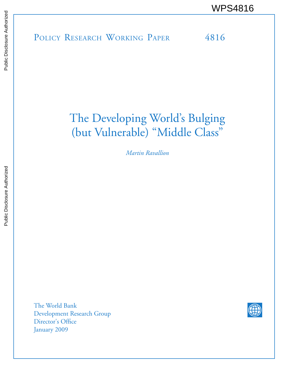POLICY RESEARCH WORKING PAPER 4816 WPS4816

# The Developing World's Bulging (but Vulnerable) "Middle Class"

*Martin Ravallion*

The World Bank Development Research Group Director's Office January 2009

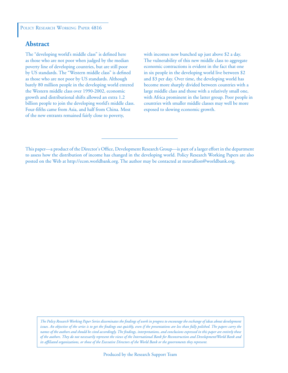#### POLICY RESEARCH WORKING PAPER 4816

# **Abstract**

The "developing world's middle class" is defined here as those who are not poor when judged by the median poverty line of developing countries, but are still poor by US standards. The "Western middle class" is defined as those who are not poor by US standards. Although barely 80 million people in the developing world entered the Western middle class over 1990-2002, economic growth and distributional shifts allowed an extra 1.2 billion people to join the developing world's middle class. Four-fifths came from Asia, and half from China. Most of the new entrants remained fairly close to poverty,

with incomes now bunched up just above \$2 a day. The vulnerability of this new middle class to aggregate economic contractions is evident in the fact that one in six people in the developing world live between \$2 and \$3 per day. Over time, the developing world has become more sharply divided between countries with a large middle class and those with a relatively small one, with Africa prominent in the latter group. Poor people in countries with smaller middle classes may well be more exposed to slowing economic growth.

*The Policy Research Working Paper Series disseminates the findings of work in progress to encourage the exchange of ideas about development*  issues. An objective of the series is to get the findings out quickly, even if the presentations are less than fully polished. The papers carry the *names of the authors and should be cited accordingly. The findings, interpretations, and conclusions expressed in this paper are entirely those of the authors. They do not necessarily represent the views of the International Bank for Reconstruction and Development/World Bank and its affiliated organizations, or those of the Executive Directors of the World Bank or the governments they represent.*

This paper—a product of the Director's Office, Development Research Group—is part of a larger effort in the department to assess how the distribution of income has changed in the developing world. Policy Research Working Papers are also posted on the Web at http://econ.worldbank.org. The author may be contacted at mravallion@worldbank.org.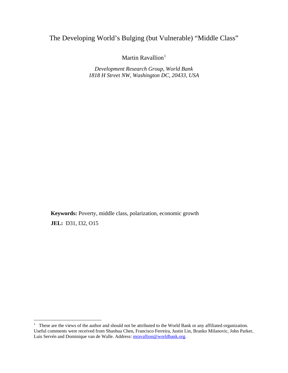# The Developing World's Bulging (but Vulnerable) "Middle Class"

Martin Ravallion<sup>[1](#page-2-0)</sup>

*Development Research Group, World Bank 1818 H Street NW, Washington DC, 20433, USA* 

**Keywords:** Poverty, middle class, polarization, economic growth **JEL:** D31, I32, O15

1

<span id="page-2-0"></span><sup>&</sup>lt;sup>1</sup> These are the views of the author and should not be attributed to the World Bank or any affiliated organization. Useful comments were received from Shaohua Chen, Francisco Ferreira, Justin Lin, Branko Milanovic, John Parker, Luis Servén and Dominique van de Walle. Address: [mravallion@worldbank.org.](mailto:mravallion@worldbank.org)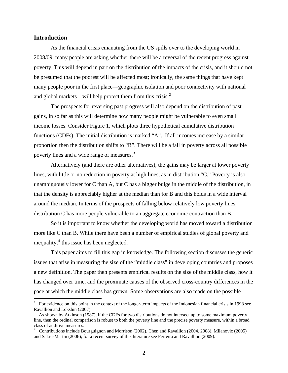#### **Introduction**

<u>.</u>

As the financial crisis emanating from the US spills over to the developing world in 2008/09, many people are asking whether there will be a reversal of the recent progress against poverty. This will depend in part on the distribution of the impacts of the crisis, and it should not be presumed that the poorest will be affected most; ironically, the same things that have kept many people poor in the first place—geographic isolation and poor connectivity with national and global markets—will help protect them from this crisis. $2^2$  $2^2$ 

The prospects for reversing past progress will also depend on the distribution of past gains, in so far as this will determine how many people might be vulnerable to even small income losses. Consider Figure 1, which plots three hypothetical cumulative distribution functions (CDFs). The initial distribution is marked "A". If all incomes increase by a similar proportion then the distribution shifts to "B". There will be a fall in poverty across all possible poverty lines and a wide range of measures.<sup>[3](#page-3-1)</sup>

Alternatively (and there are other alternatives), the gains may be larger at lower poverty lines, with little or no reduction in poverty at high lines, as in distribution "C." Poverty is also unambiguously lower for C than A, but C has a bigger bulge in the middle of the distribution, in that the density is appreciably higher at the median than for B and this holds in a wide interval around the median. In terms of the prospects of falling below relatively low poverty lines, distribution C has more people vulnerable to an aggregate economic contraction than B.

 So it is important to know whether the developing world has moved toward a distribution more like C than B. While there have been a number of empirical studies of global poverty and inequality, $4$  this issue has been neglected.

This paper aims to fill this gap in knowledge. The following section discusses the generic issues that arise in measuring the size of the "middle class" in developing countries and proposes a new definition. The paper then presents empirical results on the size of the middle class, how it has changed over time, and the proximate causes of the observed cross-country differences in the pace at which the middle class has grown. Some observations are also made on the possible

<sup>2</sup> For evidence on this point in the context of the longer-term impacts of the Indonesian financial crisis in 1998 see Ravallion and Lokshin (2007).

<sup>3</sup> As shown by Atkinson (1987), if the CDFs for two distributions do not intersect up to some maximum poverty line, then the ordinal comparison is robust to both the poverty line and the precise poverty measure, within a broad class of additive measures.

<span id="page-3-2"></span><span id="page-3-1"></span><span id="page-3-0"></span><sup>&</sup>lt;sup>4</sup> Contributions include Bourguignon and Morrison (2002), Chen and Ravallion (2004, 2008), Milanovic (2005) and Sala-i-Martin (2006); for a recent survey of this literature see Ferreira and Ravallion (2009).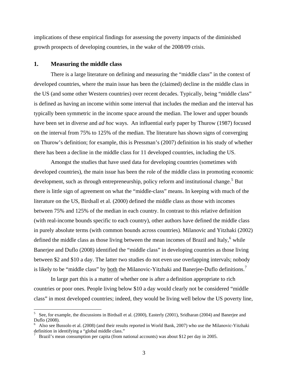<span id="page-4-0"></span>implications of these empirical findings for assessing the poverty impacts of the diminished growth prospects of developing countries, in the wake of the 2008/09 crisis.

#### **1. Measuring the middle class**

1

There is a large literature on defining and measuring the "middle class" in the context of developed countries, where the main issue has been the (claimed) decline in the middle class in the US (and some other Western countries) over recent decades. Typically, being "middle class" is defined as having an income within some interval that includes the median and the interval has typically been symmetric in the income space around the median. The lower and upper bounds have been set in diverse and *ad hoc* ways. An influential early paper by Thurow (1987) focused on the interval from 75% to 125% of the median. The literature has shown signs of converging on Thurow's definition; for example, this is Pressman's (2007) definition in his study of whether there has been a decline in the middle class for 11 developed countries, including the US.

Amongst the studies that have used data for developing countries (sometimes with developed countries), the main issue has been the role of the middle class in promoting economic development, such as through entrepreneurship, policy reform and institutional change.<sup>[5](#page-4-0)</sup> But there is little sign of agreement on what the "middle-class" means. In keeping with much of the literature on the US, Birdsall et al. (2000) defined the middle class as those with incomes between 75% and 125% of the median in each country. In contrast to this relative definition (with real-income bounds specific to each country), other authors have defined the middle class in purely absolute terms (with common bounds across countries). Milanovic and Yitzhaki (2002) defined the middle class as those living between the mean incomes of Brazil and Italy, $6$  while Banerjee and Duflo (2008) identified the "middle class" in developing countries as those living between \$2 and \$10 a day. The latter two studies do not even use overlapping intervals; nobody is likely to be "middle class" by <u>both</u> the Milanovic-Yitzhaki and Banerjee-Duflo definitions.<sup>[7](#page-4-0)</sup>

In large part this is a matter of whether one is after a definition appropriate to rich countries or poor ones. People living below \$10 a day would clearly not be considered "middle class" in most developed countries; indeed, they would be living well below the US poverty line,

<sup>5</sup> See, for example, the discussions in Birdsall et al. (2000), Easterly (2001), Sridharan (2004) and Banerjee and Duflo (2008).

<sup>6</sup> Also see Bussolo et al. (2008) (and their results reported in World Bank, 2007) who use the Milanovic-Yitzhaki definition in identifying a "global middle class."

<sup>7</sup> Brazil's mean consumption per capita (from national accounts) was about \$12 per day in 2005.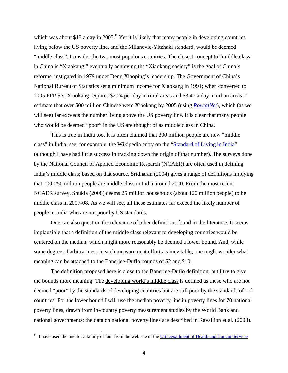<span id="page-5-0"></span>which was about \$13 a day in  $2005$ .<sup>[8](#page-5-0)</sup> Yet it is likely that many people in developing countries living below the US poverty line, and the Milanovic-Yitzhaki standard, would be deemed "middle class". Consider the two most populous countries. The closest concept to "middle class" in China is "Xiaokang;" eventually achieving the "Xiaokang society" is the goal of China's reforms, instigated in 1979 under Deng Xiaoping's leadership. The Government of China's National Bureau of Statistics set a minimum income for Xiaokang in 1991; when converted to 2005 PPP \$'s, Xiaokang requires \$2.24 per day in rural areas and \$3.47 a day in urban areas; I estimate that over 500 million Chinese were Xiaokang by 2005 (using *[PovcalNet](http://econ.worldbank.org/povcalnet)*), which (as we will see) far exceeds the number living above the US poverty line. It is clear that many people who would be deemed "poor" in the US are thought of as middle class in China.

This is true in India too. It is often claimed that 300 million people are now "middle class" in India; see, for example, the Wikipedia entry on the ["Standard of Living in India"](http://en.wikipedia.org/wiki/Standard_of_living_in_India) (although I have had little success in tracking down the origin of that number). The surveys done by the National Council of Applied Economic Research (NCAER) are often used in defining India's middle class; based on that source, Sridharan (2004) gives a range of definitions implying that 100-250 million people are middle class in India around 2000. From the most recent NCAER survey, Shukla (2008) deems 25 million households (about 120 million people) to be middle class in 2007-08. As we will see, all these estimates far exceed the likely number of people in India who are not poor by US standards.

One can also question the relevance of other definitions found in the literature. It seems implausible that a definition of the middle class relevant to developing countries would be centered on the median, which might more reasonably be deemed a lower bound. And, while some degree of arbitrariness in such measurement efforts is inevitable, one might wonder what meaning can be attached to the Banerjee-Duflo bounds of \$2 and \$10.

The definition proposed here is close to the Banerjee-Duflo definition, but I try to give the bounds more meaning. The developing world's middle class is defined as those who are not deemed "poor" by the standards of developing countries but are still poor by the standards of rich countries. For the lower bound I will use the median poverty line in poverty lines for 70 national poverty lines, drawn from in-country poverty measurement studies by the World Bank and national governments; the data on national poverty lines are described in Ravallion et al. (2008).

<sup>&</sup>lt;sup>8</sup> I have used the line for a family of four from the web site of the [US Department of Health and Human Services](http://aspe.hhs.gov/poverty/05poverty.shtml).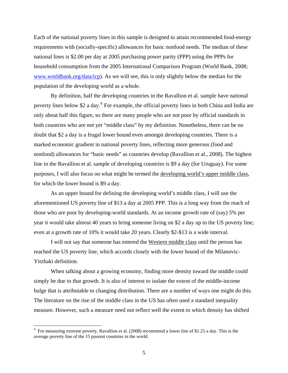<span id="page-6-0"></span>Each of the national poverty lines in this sample is designed to attain recommended food-energy requirements with (socially-specific) allowances for basic nonfood needs. The median of these national lines is \$2.00 per day at 2005 purchasing power parity (PPP) using the PPPs for household consumption from the 2005 International Comparison Program (World Bank, 2008; [www.worldbank.org/data/icp\)](http://www.worldbank.org/data/icp). As we will see, this is only slightly below the median for the population of the developing world as a whole.

By definition, half the developing countries in the Ravallion et al. sample have national poverty lines below \$2 a day.<sup>[9](#page-6-0)</sup> For example, the official poverty lines in both China and India are only about half this figure, so there are many people who are not poor by official standards in both countries who are not yet "middle class" by my definition. Nonetheless, there can be no doubt that \$2 a day is a frugal lower bound even amongst developing countries. There is a marked economic gradient in national poverty lines, reflecting more generous (food and nonfood) allowances for "basic needs" as countries develop (Ravallion et al., 2008). The highest line in the Ravallion et al. sample of developing countries is \$9 a day (for Uruguay). For some purposes, I will also focus on what might be termed the developing world's upper middle class, for which the lower bound is \$9 a day.

As an upper bound for defining the developing world's middle class, I will use the aforementioned US poverty line of \$13 a day at 2005 PPP. This is a long way from the reach of those who are poor by developing-world standards. At an income growth rate of (say) 5% per year it would take almost 40 years to bring someone living on \$2 a day up to the US poverty line; even at a growth rate of 10% it would take 20 years. Clearly \$2-\$13 is a wide interval.

I will not say that someone has entered the Western middle class until the person has reached the US poverty line, which accords closely with the lower bound of the Milanovic-Yitzhaki definition.

When talking about a growing economy, finding more density toward the middle could simply be due to that growth. It is also of interest to isolate the extent of the middle-income bulge that is attributable to changing distribution. There are a number of ways one might do this. The literature on the rise of the middle class in the US has often used a standard inequality measure. However, such a measure need not reflect well the extent to which density has shifted

<sup>&</sup>lt;sup>9</sup> For measuring extreme poverty, Ravallion et al. (2008) recommend a lower line of \$1.25 a day. This is the average poverty line of the 15 poorest countries in the world.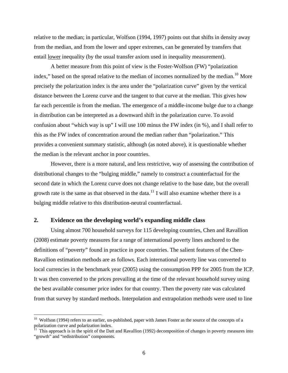<span id="page-7-0"></span>relative to the median; in particular, Wolfson (1994, 1997) points out that shifts in density away from the median, and from the lower and upper extremes, can be generated by transfers that entail <u>lower</u> inequality (by the usual transfer axiom used in inequality measurement).

A better measure from this point of view is the Foster-Wolfson (FW) "polarization index," based on the spread relative to the median of incomes normalized by the median.<sup>[10](#page-7-0)</sup> More precisely the polarization index is the area under the "polarization curve" given by the vertical distance between the Lorenz curve and the tangent to that curve at the median. This gives how far each percentile is from the median. The emergence of a middle-income bulge due to a change in distribution can be interpreted as a downward shift in the polarization curve. To avoid confusion about "which way is up" I will use 100 minus the FW index (in %), and I shall refer to this as the FW index of concentration around the median rather than "polarization." This provides a convenient summary statistic, although (as noted above), it is questionable whether the median is the relevant anchor in poor countries.

However, there is a more natural, and less restrictive, way of assessing the contribution of distributional changes to the "bulging middle," namely to construct a counterfactual for the second date in which the Lorenz curve does not change relative to the base date, but the overall growth rate is the same as that observed in the data.<sup>[11](#page-7-0)</sup> I will also examine whether there is a bulging middle relative to this distribution-neutral counterfactual.

#### **2. Evidence on the developing world's expanding middle class**

<u>.</u>

Using almost 700 household surveys for 115 developing countries, Chen and Ravallion (2008) estimate poverty measures for a range of international poverty lines anchored to the definitions of "poverty" found in practice in poor countries. The salient features of the Chen-Ravallion estimation methods are as follows. Each international poverty line was converted to local currencies in the benchmark year (2005) using the consumption PPP for 2005 from the ICP. It was then converted to the prices prevailing at the time of the relevant household survey using the best available consumer price index for that country. Then the poverty rate was calculated from that survey by standard methods. Interpolation and extrapolation methods were used to line

 $10$  Wolfson (1994) refers to an earlier, un-published, paper with James Foster as the source of the concepts of a polarization curve and polarization index.

 $11$  This approach is in the spirit of the Datt and Ravallion (1992) decomposition of changes in poverty measures into "growth" and "redistribution" components.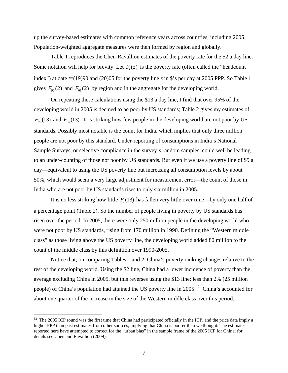<span id="page-8-0"></span>up the survey-based estimates with common reference years across countries, including 2005. Population-weighted aggregate measures were then formed by region and globally.

Table 1 reproduces the Chen-Ravallion estimates of the poverty rate for the \$2 a day line. Some notation will help for brevity. Let  $F_t(z)$  is the poverty rate (often called the "headcount index") at date  $t=(19)90$  and (20)05 for the poverty line *z* in \$'s per day at 2005 PPP. So Table 1 gives  $F_{90}(2)$  and  $F_{05}(2)$  by region and in the aggregate for the developing world.

On repeating these calculations using the \$13 a day line, I find that over 95% of the developing world in 2005 is deemed to be poor by US standards; Table 2 gives my estimates of  $F_{90}(13)$  and  $F_{05}(13)$ . It is striking how few people in the developing world are not poor by US standards. Possibly most notable is the count for India, which implies that only three million people are not poor by this standard. Under-reporting of consumptions in India's National Sample Surveys, or selective compliance in the survey's random samples, could well be leading to an under-counting of those not poor by US standards. But even if we use a poverty line of \$9 a day—equivalent to using the US poverty line but increasing all consumption levels by about 50%, which would seem a very large adjustment for measurement error—the count of those in India who are not poor by US standards rises to only six million in 2005.

It is no less striking how little  $F_t(13)$  has fallen very little over time—by only one half of a percentage point (Table 2). So the number of people living in poverty by US standards has risen over the period. In 2005, there were only 250 million people in the developing world who were not poor by US standards, rising from 170 million in 1990. Defining the "Western middle class" as those living above the US poverty line, the developing world added 80 million to the count of the middle class by this definition over 1990-2005.

Notice that, on comparing Tables 1 and 2, China's poverty ranking changes relative to the rest of the developing world. Using the \$2 line, China had a lower incidence of poverty than the average excluding China in 2005, but this reverses using the \$13 line; less than 2% (25 million people) of China's population had attained the US poverty line in  $2005$ <sup>[12](#page-8-0)</sup> China's accounted for about one quarter of the increase in the size of the Western middle class over this period.

 $12$  The 2005 ICP round was the first time that China had participated officially in the ICP, and the price data imply a higher PPP than past estimates from other sources, implying that China is poorer than we thought. The estimates reported here have attempted to correct for the "urban bias" in the sample frame of the 2005 ICP for China; for details see Chen and Ravallion (2009).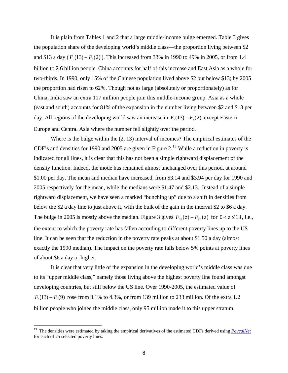<span id="page-9-0"></span>It is plain from Tables 1 and 2 that a large middle-income bulge emerged. Table 3 gives the population share of the developing world's middle class—the proportion living between \$2 and \$13 a day ( $F_t(13) - F_t(2)$ ). This increased from 33% in 1990 to 49% in 2005, or from 1.4 billion to 2.6 billion people. China accounts for half of this increase and East Asia as a whole for two-thirds. In 1990, only 15% of the Chinese population lived above \$2 but below \$13; by 2005 the proportion had risen to 62%. Though not as large (absolutely or proportionately) as for China, India saw an extra 117 million people join this middle-income group. Asia as a whole (east and south) accounts for 81% of the expansion in the number living between \$2 and \$13 per day. All regions of the developing world saw an increase in  $F_t(13) - F_t(2)$  except Eastern Europe and Central Asia where the number fell slightly over the period.

Where is the bulge within the (2, 13) interval of incomes? The empirical estimates of the CDF's and densities for 1990 and 2005 are given in Figure  $2<sup>13</sup>$  $2<sup>13</sup>$  $2<sup>13</sup>$  While a reduction in poverty is indicated for all lines, it is clear that this has not been a simple rightward displacement of the density function. Indeed, the mode has remained almost unchanged over this period, at around \$1.00 per day. The mean and median have increased, from \$3.14 and \$3.94 per day for 1990 and 2005 respectively for the mean, while the medians were \$1.47 and \$2.13. Instead of a simple rightward displacement, we have seen a marked "bunching up" due to a shift in densities from below the \$2 a day line to just above it, with the bulk of the gain in the interval \$2 to \$6 a day. The bulge in 2005 is mostly above the median. Figure 3 gives  $F_{0.05}(z) - F_{9.0}(z)$  for  $0 < z \le 13$ , i.e., the extent to which the poverty rate has fallen according to different poverty lines up to the US line. It can be seen that the reduction in the poverty rate peaks at about \$1.50 a day (almost exactly the 1990 median). The impact on the poverty rate falls below 5% points at poverty lines of about \$6 a day or higher.

It is clear that very little of the expansion in the developing world's middle class was due to its "upper middle class," namely those living above the highest poverty line found amongst developing countries, but still below the US line. Over 1990-2005, the estimated value of  $F_t(13) - F_t(9)$  rose from 3.1% to 4.3%, or from 139 million to 233 million. Of the extra 1.2 billion people who joined the middle class, only 95 million made it to this upper stratum.

<sup>&</sup>lt;sup>13</sup> The densities were estimated by taking the empirical derivatives of the estimated CDFs derived using *[PovcalNet](http://econ.worldbank.org/povcalnet)* for each of 25 selected poverty lines.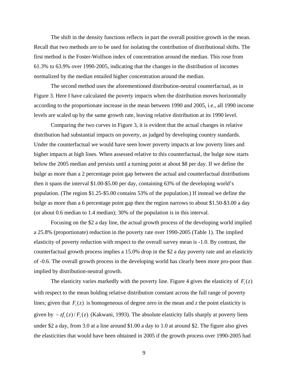The shift in the density functions reflects in part the overall positive growth in the mean. Recall that two methods are to be used for isolating the contribution of distributional shifts. The first method is the Foster-Wolfson index of concentration around the median. This rose from 61.3% to 63.9% over 1990-2005, indicating that the changes in the distribution of incomes normalized by the median entailed higher concentration around the median.

The second method uses the aforementioned distribution-neutral counterfactual, as in Figure 3. Here I have calculated the poverty impacts when the distribution moves horizontally according to the proportionate increase in the mean between 1990 and 2005, i.e., all 1990 income levels are scaled up by the same growth rate, leaving relative distribution at its 1990 level.

Comparing the two curves in Figure 3, it is evident that the actual changes in relative distribution had substantial impacts on poverty, as judged by developing country standards. Under the counterfactual we would have seen lower poverty impacts at low poverty lines and higher impacts at high lines. When assessed relative to this counterfactual, the bulge now starts below the 2005 median and persists until a turning point at about \$8 per day. If we define the bulge as more than a 2 percentage point gap between the actual and counterfactual distributions then it spans the interval \$1.00-\$5.00 per day, containing 63% of the developing world's population. (The region \$1.25-\$5.00 contains 53% of the population.) If instead we define the bulge as more than a 6 percentage point gap then the region narrows to about \$1.50-\$3.00 a day (or about 0.6 median to 1.4 median); 30% of the population is in this interval.

Focusing on the \$2 a day line, the actual growth process of the developing world implied a 25.8% (proportionate) reduction in the poverty rate over 1990-2005 (Table 1). The implied elasticity of poverty reduction with respect to the overall survey mean is -1.0. By contrast, the counterfactual growth process implies a 15.0% drop in the \$2 a day poverty rate and an elasticity of -0.6. The overall growth process in the developing world has clearly been more pro-poor than implied by distribution-neutral growth.

The elasticity varies markedly with the poverty line. Figure 4 gives the elasticity of  $F_t(z)$ with respect to the mean holding relative distribution constant across the full range of poverty lines; given that  $F_t(z)$  is homogeneous of degree zero in the mean and *z* the point elasticity is given by  $-\zeta f_t(z)/F_t(z)$  (Kakwani, 1993). The absolute elasticity falls sharply at poverty liens under \$2 a day, from 3.0 at a line around \$1.00 a day to 1.0 at around \$2. The figure also gives the elasticities that would have been obtained in 2005 if the growth process over 1990-2005 had

9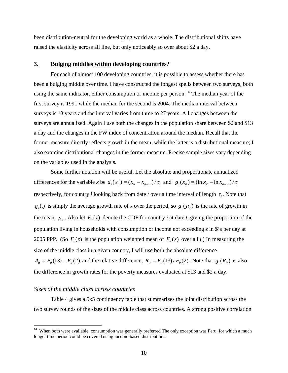<span id="page-11-0"></span>been distribution-neutral for the developing world as a whole. The distributional shifts have raised the elasticity across all line, but only noticeably so over about \$2 a day.

#### **3. Bulging middles within developing countries?**

For each of almost 100 developing countries, it is possible to assess whether there has been a bulging middle over time. I have constructed the longest spells between two surveys, both using the same indicator, either consumption or income per person.<sup>[14](#page-11-0)</sup> The median year of the first survey is 1991 while the median for the second is 2004. The median interval between surveys is 13 years and the interval varies from three to 27 years. All changes between the surveys are annualized. Again I use both the changes in the population share between \$2 and \$13 a day and the changes in the FW index of concentration around the median. Recall that the former measure directly reflects growth in the mean, while the latter is a distributional measure; I also examine distributional changes in the former measure. Precise sample sizes vary depe nding on the variables used in the ana lysis.

Some further notation will be useful. Let the absolute and proportionate annualized differences for the variable *x* be  $d_i(x_i) = (x_i - x_{i\ell - \tau_i})/\tau_i$  and  $g_i(x_i) = (\ln x_i - \ln x_{i\ell - \tau_i})/\tau_i$ respectively, for country *i* looking back from date *t* over a time interval of length  $\tau_i$ . Note that  $g_i(.)$  is simply the average growth rate of *x* over the period, so  $g_i(\mu_i)$  is the rate of growth in the mean,  $\mu_{it}$ . Also let  $F_{it}(z)$  denote the CDF for country *i* at date *t*, giving the proportion of the population living in households with consumption or income not exceeding *z* in \$'s per day at 2005 PPP. (So  $F_t(z)$  is the population weighted mean of  $F_{it}(z)$  over all *i*.) In measuring the size of the middle class in a given country, I will use both the absolute difference  $A_{it} \equiv F_{it}(13) - F_{it}(2)$  and the relative difference,  $R_{it} \equiv F_{it}(13) / F_{it}(2)$ . Note that  $g_i(R_{it})$  is also the difference in growth rates for the poverty measures evaluated at \$13 and \$2 a day.

#### *Sizes of the middle class across countries*

 $\overline{a}$ 

Table 4 gives a 5x5 contingency table that summarizes the joint distribution across the two survey rounds of the sizes of the middle class across countries. A strong positive correlation

<sup>&</sup>lt;sup>14</sup> When both were available, consumption was generally preferred The only exception was Peru, for which a much longer time period could be covered using income-based distributions.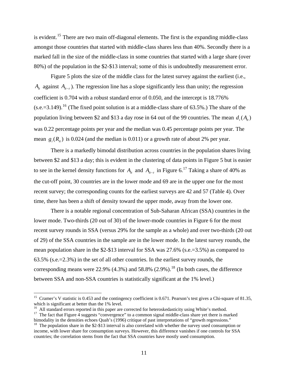<span id="page-12-0"></span>is evident.<sup>[15](#page-12-0)</sup> There are two main off-diagonal elements. The first is the expanding middle-class amongst those countries that started with middle-class shares less than 40%. Secondly there is a marked fall in the size of the middle-class in some countries that started with a large share (over 80%) of the population in the \$2-\$13 interval; some of this is undoubtedly measurement error.

Figure 5 plots the size of the middle class for the latest survey against the earliest (i.e.,  $A_{it}$  against  $A_{it-t}$ ). The regression line has a slope significantly less than unity; the regression coefficient is 0.704 with a robust standard error of 0.050, and the intercept is 18.776%  $(s.e.=3.149)$ .<sup>[16](#page-12-0)</sup> (The fixed point solution is at a middle-class share of 63.5%.) The share of the mean  $g_i(R_i)$  is 0.024 (and the median is 0.011) or a growth rate of about 2% per year. population living between \$2 and \$13 a day rose in 64 out of the 99 countries. The mean  $d_i(A_{it})$ was 0.22 percentage points per year and the median was 0.45 percentage points per year. The

There is a markedly bimodal distribution across countries in the population shares living between \$2 and \$13 a day; this is evident in the clustering of data points in Figure 5 but is easier to see in the kernel density functions for  $A_{it}$  and  $A_{it-\tau}$  in Figure 6.<sup>[17](#page-12-0)</sup> Taking a share of 40% as the cut-off point, 30 countries are in the lower mode and 69 are in the upper one for the most recent survey; the corresponding counts for the earliest surveys are 42 and 57 (Table 4). Over time, there has been a shift of density toward the upper mode, away from the lower one.

There is a notable regional concentration of Sub-Saharan African (SSA) countries in the lower mode. Two-thirds (20 out of 30) of the lower-mode countries in Figure 6 for the most recent survey rounds in SSA (versus 29% for the sample as a whole) and over two-thirds (20 out of 29) of the SSA countries in the sample are in the lower mode. In the latest survey rounds, the mean population share in the \$2-\$13 interval for SSA was 27.6% (s.e.=3.5%) as compared to 63.5% (s.e.=2.3%) in the set of all other countries. In the earliest survey rounds, the corresponding means were  $22.9\%$  (4.3%) and 58.8% (2.9%).<sup>[18](#page-12-0)</sup> (In both cases, the difference between SSA and non-SSA countries is statistically significant at the 1% level.)

<sup>&</sup>lt;sup>15</sup> Cramer's V statistic is 0.453 and the contingency coefficient is 0.671. Pearson's test gives a Chi-square of 81.35, which is significant at better than the 1% level.

<sup>&</sup>lt;sup>16</sup> All standard errors reported in this paper are corrected for heteroskedasticity using White's method.

<sup>&</sup>lt;sup>17</sup> The fact that Figure 4 suggests "convergence" to a common signal middle-class share yet there is marked bimodality in the densities echoes Quah's (1996) critique of past interpretations of "growth regressions."

 $^{18}$  The population share in the \$2-\$13 interval is also correlated with whether the survey used consumption or income, with lower share for consumption surveys. However, this difference vanishes if one controls for SSA countries; the correlation stems from the fact that SSA countries have mostly used consumption.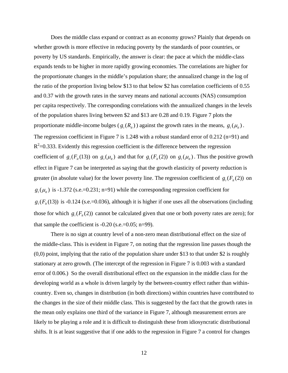Does the middle class expand or contract as an economy grows? Plainly that depends on whether growth is more effective in reducing poverty by the standards of poor countries, or poverty by US standards. Empirically, the answer is clear: the pace at which the middle-class expands tends to be higher in more rapidly growing economies. The correlations are higher for the proportionate changes in the middle's population share; the annualized change in the log of the ratio of the proportion living below \$13 to that below \$2 has correlation coefficients of 0.55 and 0.37 with the growth rates in the survey means and national accounts (NAS) consumption per capita respectively. The corresponding correlations with the annualized changes in the levels of the population shares living between \$2 and \$13 are 0.28 and 0.19. Figure 7 plots the proportionate middle-income bulges ( $g_i(R_i)$ ) against the growth rates in the means,  $g_i(\mu_i)$ . The regression coefficient in Figure 7 is 1.248 with a robust standard error of 0.212 (n=91) and  $R<sup>2</sup>=0.333$ . Evidently this regression coefficient is the difference between the regression coefficient of  $g_i(F_i(13))$  on  $g_i(\mu_i)$  and that for  $g_i(F_i(2))$  on  $g_i(\mu_i)$ . Thus the positive growth effect in Figure 7 can be interpreted as saying that the growth elasticity of poverty reduction is greater (in absolute value) for the lower poverty line. The regression coefficient of  $g_i(F_i(2))$  on  $g_i(\mu_i)$  is -1.372 (s.e.=0.231; n=91) while the corresponding regression coefficient for  $g_i(F_i(13))$  is -0.124 (s.e.=0.036), although it is higher if one uses all the observations (including those for which  $g_i(F_i(2))$  cannot be calculated given that one or both poverty rates are zero); for that sample the coefficient is  $-0.20$  (s.e.= $0.05$ ; n=99).

There is no sign at country level of a non-zero mean distributional effect on the size of the middle-class. This is evident in Figure 7, on noting that the regression line passes though the (0,0) point, implying that the ratio of the population share under \$13 to that under \$2 is roughly stationary at zero growth. (The intercept of the regression in Figure 7 is 0.003 with a standard error of 0.006.) So the overall distributional effect on the expansion in the middle class for the developing world as a whole is driven largely by the between-country effect rather than withincountry. Even so, changes in distribution (in both directions) within countries have contributed to the changes in the size of their middle class. This is suggested by the fact that the growth rates in the mean only explains one third of the variance in Figure 7, although measurement errors are likely to be playing a role and it is difficult to distinguish these from idiosyncratic distributional shifts. It is at least suggestive that if one adds to the regression in Figure 7 a control for changes

12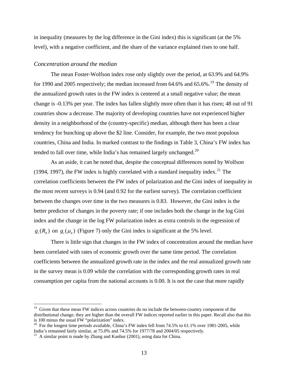<span id="page-14-0"></span>in inequality (measures by the log difference in the Gini index) this is significant (at the 5% level), with a negative coefficient, and the share of the variance explained rises to one half.

#### *Concentration around the median*

The mean Foster-Wolfson index rose only slightly over the period, at 63.9% and 64.9% for [19](#page-14-0)90 and 2005 respectively; the median increased from  $64.6\%$  and  $65.6\%$ .<sup>19</sup> The density of the annualized growth rates in the FW index is centered at a small negative value; the mean change is -0.13% per year. The index has fallen slightly more often than it has risen; 48 out of 91 countries show a decrease. The majority of developing countries have not experienced higher density in a neighborhood of the (country-specific) median, although there has been a clear tendency for bunching up above the \$2 line. Consider, for example, the two most populous countries, China and India. In marked contrast to the findings in Table 3, China's FW index has tended to fall over time, while India's has remained largely unchanged.<sup>[20](#page-14-0)</sup>

 As an aside, it can be noted that, despite the conceptual differences noted by Wolfson (1994, 1997), the FW index is highly correlated with a standard inequality index.<sup>[21](#page-14-0)</sup> The correlation coefficients between the FW index of polarization and the Gini index of inequality in the most recent surveys is 0.94 (and 0.92 for the earliest survey). The correlation coefficient between the changes over time in the two measures is 0.83. However, the Gini index is the better predictor of changes in the poverty rate; if one includes both the change in the log Gini index and the change in the log FW polarization index as extra controls in the regression of  $g_i(R_i)$  on  $g_i(\mu_i)$  (Figure 7) only the Gini index is significant at the 5% level.

There is little sign that changes in the FW index of concentration around the median have been correlated with rates of economic growth over the same time period. The correlation coefficients between the annualized growth rate in the index and the real annualized growth rate in the survey mean is 0.09 while the correlation with the corresponding growth rates in real consumption per capita from the national accounts is 0.00. It is not the case that more rapidly

<sup>&</sup>lt;sup>19</sup> Given that these mean FW indices across countries do no include the between-country component of the distributional change, they are higher than the overall FW indices reported earlier in this paper. Recall also that this is 100 minus the usual FW "polarization" index.

<sup>&</sup>lt;sup>20</sup> For the longest time periods available, China's FW index fell from 74.5% to 61.1% over 1981-2005, while India's remained fairly similar, at 75.0% and 74.5% for 1977/78 and 2004/05 respectively.

 $21$  A similar point is made by Zhang and Kanbur (2001), using data for China.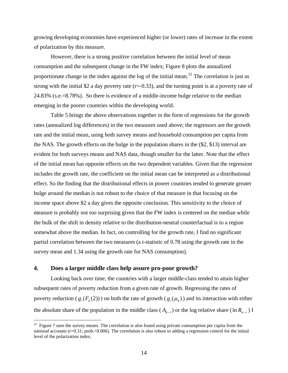<span id="page-15-0"></span>growing developing economies have experienced higher (or lower) rates of increase in the extent of polarization by this measure.

However, there is a strong positive correlation between the initial level of mean consumption and the subsequent change in the FW index; Figure 8 plots the annualized proportionate change in the index against the log of the initial mean.<sup>[22](#page-15-0)</sup> The correlation is just as strong with the initial \$2 a day poverty rate  $(r=0.33)$ , and the turning point is at a poverty rate of 24.83% (s.e.=8.78%). So there is evidence of a middle-income bulge relative to the median emerging in the poorer countries within the developing world.

 Table 5 brings the above observations together in the form of regressions for the growth rates (annualized log differences) in the two measures used above; the regressors are the growth rate and the initial mean, using both survey means and household consumption per capita from the NAS. The growth effects on the bulge in the population shares in the (\$2, \$13) interval are evident for both surveys means and NAS data, though smaller for the latter. Note that the effect of the initial mean has opposite effects on the two dependent variables. Given that the regression includes the growth rate, the coefficient on the initial mean can be interpreted as a distributional effect. So the finding that the distributional effects in poorer countries tended to generate greater bulge around the median is not robust to the choice of that measure in that focusing on the income space above \$2 a day gives the opposite conclusion. This sensitivity to the choice of measure is probably not too surprising given that the FW index is centered on the median while the bulk of the shift in density relative to the distribution-neutral counterfactual is to a region somewhat above the median. In fact, on controlling for the growth rate, I find no significant partial correlation between the two measures (a t-statistic of 0.78 using the growth rate in the survey mean and 1.34 using the growth rate for NAS consumption).

#### **4. Does a larger middle class help assure pro-poor growth?**

1

Looking back over time, the countries with a larger middle-class tended to attain higher subsequent rates of poverty reduction from a given rate of growth. Regressing the rates of poverty reduction ( $g_i(F_i(2))$ ) on both the rate of growth ( $g_i(\mu_i)$ ) and its interaction with either the absolute share of the population in the middle class ( $A_{it-1}$ ) or the log relative share ( $\ln R_{it-1}$ ) **I** 

 $22$  Figure 7 uses the survey means. The correlation is also found using private consumption per capita from the national accounts (r=0.31; prob.=0.006). The correlation is also robust to adding a regression control for the initial level of the polarization index.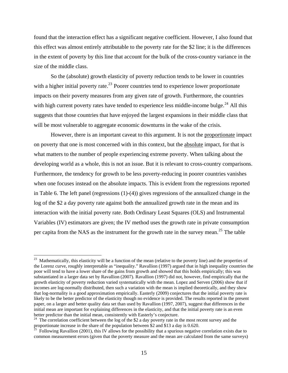<span id="page-16-0"></span>found that the interaction effect has a significant negative coefficient. However, I also found that this effect was almost entirely attributable to the poverty rate for the \$2 line; it is the differences in the extent of poverty by this line that account for the bulk of the cross-country variance in the size of the middle class.

So the (absolute) growth elasticity of poverty reduction tends to be lower in countries with a higher initial poverty rate.<sup>[23](#page-16-0)</sup> Poorer countries tend to experience lower proportionate impacts on their poverty measures from any given rate of growth. Furthermore, the countries with high current poverty rates have tended to experience less middle-income bulge.<sup>[24](#page-16-0)</sup> All this suggests that those countries that have enjoyed the largest expansions in their middle class that will be most vulnerable to aggregate economic downturns in the wake of the crisis.

However, there is an important caveat to this argument. It is not the proportionate impact on poverty that one is most concerned with in this context, but the absolute impact, for that is what matters to the number of people experiencing extreme poverty. When talking about the developing world as a whole, this is not an issue. But it is relevant to cross-country comparisons. Furthermore, the tendency for growth to be less poverty-reducing in poorer countries vanishes when one focuses instead on the absolute impacts. This is evident from the regressions reported in Table 6. The left panel (regressions (1)-(4)) gives regressions of the annualized change in the log of the \$2 a day poverty rate against both the annualized growth rate in the mean and its interaction with the initial poverty rate. Both Ordinary Least Squares (OLS) and Instrumental Variables (IV) estimators are given; the IV method uses the growth rate in private consumption per capita from the NAS as the instrument for the growth rate in the survey mean.<sup>[25](#page-16-0)</sup> The table

 $23$  Mathematically, this elasticity will be a function of the mean (relative to the poverty line) and the properties of the Lorenz curve, roughly interpretable as "inequality." Ravallion (1997) argued that in high inequality countries the poor will tend to have a lower share of the gains from growth and showed that this holds empirically; this was substantiated in a larger data set by Ravallion (2007). Ravallion (1997) did not, however, find empirically that the growth elasticity of poverty reduction varied systematically with the mean. Lopez and Serven (2006) show that if incomes are log-normally distributed, then such a variation with the mean is implied theoretically, and they show that log-normality is a good approximation empirically. Easterly (2009) conjectures that the initial poverty rate is likely to be the better predictor of the elasticity though no evidence is provided. The results reported in the present paper, on a larger and better quality data set than used by Ravallion (1997, 2007), suggest that differences in the initial mean are important for explaining differences in the elasticity, and that the initial poverty rate is an even better predictor than the initial mean, consistently with Easterly's conjecture.

 $24$  The correlation coefficient between the log of the \$2 a day poverty rate in the most recent survey and the proportionate increase in the share of the population between \$2 and \$13 a day is 0.620.

 $^{25}$  Following Ravallion (2001), this IV allows for the possibility that a spurious negative correlation exists due to common measurement errors (given that the poverty measure and the mean are calculated from the same surveys)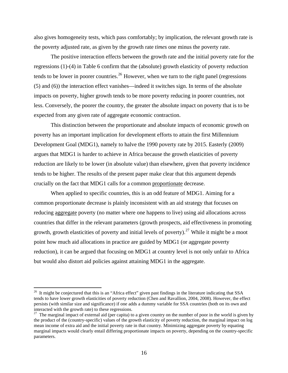<span id="page-17-0"></span>also gives homogeneity tests, which pass comfortably; by implication, the relevant growth rate is the poverty adjusted rate, as given by the growth rate *times* one minus the poverty rate.

The positive interaction effects between the growth rate and the initial poverty rate for the regressions (1)-(4) in Table 6 confirm that the (absolute) growth elasticity of poverty reduction tends to be lower in poorer countries.<sup>26</sup> However, when we turn to the right panel (regressions (5) and (6)) the interaction effect vanishes—indeed it switches sign. In terms of the absolute impacts on poverty, higher growth tends to be more poverty reducing in poorer countries, n ot less. Conversely, the poorer the country, the greater the absolute impact on poverty that is to be expected from any given rate of aggregate economic contraction.

This distinction between the proportionate and absolute impacts of economic growth on poverty has an important implication for development efforts to attain the first Millennium Development Goal (MDG1), namely to halve the 1990 poverty rate by 2015. Easterly (2009) argues that MDG1 is harder to achieve in Africa because the growth elasticities of poverty reduction are likely to be lower (in absolute value) than elsewhere, given that poverty incidence tends to be higher. The results of the present paper make clear that this argument depends crucially on the fact that MDG1 calls for a common proportionate decrease.

When applied to specific countries, this is an odd feature of MDG1. Aiming for a common proportionate decrease is plainly inconsistent with an aid strategy that focuses on reducing aggregate poverty (no matter where one happens to live) using aid allocations across countries that differ in the relevant parameters (growth prospects, aid effectiveness in promoting growth, growth elasticities of poverty and initial levels of poverty).<sup>[27](#page-17-0)</sup> While it might be a moot point how much aid allocations in practice are guided by MDG1 (or aggregate poverty reduction), it can be argued that focusing on MDG1 at country level is not only unfair to Africa but would also distort aid policies against attaining MDG1 in the aggregate.

 $^{26}$  It might be conjectured that this is an "Africa effect" given past findings in the literature indicating that SSA tends to have lower growth elasticities of poverty reduction (Chen and Ravallion, 2004, 2008). However, the effect persists (with similar size and significance) if one adds a dummy variable for SSA countries (both on its own and interacted with the growth rate) to these regressions.

 $27$  The marginal impact of external aid (per capita) to a given country on the number of poor in the world is given by the product of the (country-specific) values of the growth elasticity of poverty reduction, the marginal impact on log mean income of extra aid and the initial poverty rate in that country. Minimizing aggregate poverty by equating marginal impacts would clearly entail differing proportionate impacts on poverty, depending on the country-specific parameters.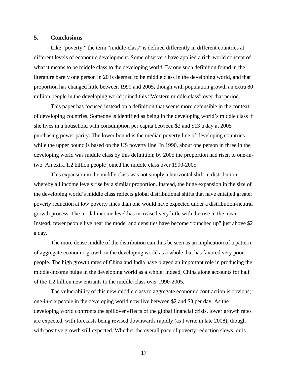#### **5. Conclusions**

Like "poverty," the term "middle-class" is defined differently in different countries at different levels of economic development. Some observers have applied a rich-world concept of what it means to be middle class to the developing world. By one such definition found in the literature barely one person in 20 is deemed to be middle class in the developing world, and that proportion has changed little between 1990 and 2005, though with population growth an extra 80 million people in the developing world joined this "Western middle class" over that period.

This paper has focused instead on a definition that seems more defensible in the context of developing countries. Someone is identified as being in the developing world's middle class if she lives in a household with consumption per capita between \$2 and \$13 a day at 2005 purchasing power parity. The lower bound is the median poverty line of developing countries while the upper bound is based on the US poverty line. In 1990, about one person in three in the developing world was middle class by this definition; by 2005 the proportion had risen to one-intwo. An extra 1.2 billion people joined the middle class over 1990-2005.

This expansion in the middle class was not simply a horizontal shift in distribution whereby all income levels rise by a similar proportion. Instead, the huge expansion in the size of the developing world's middle class reflects global distributional shifts that have entailed greater poverty reduction at low poverty lines than one would have expected under a distribution-neutral growth process. The modal income level has increased very little with the rise in the mean. Instead, fewer people live near the mode, and densities have become "bunched up" just above \$2 a day.

The more dense middle of the distribution can thus be seen as an implication of a pattern of aggregate economic growth in the developing world as a whole that has favored very poor people. The high growth rates of China and India have played an important role in producing the middle-income bulge in the developing world as a whole; indeed, China alone accounts for half of the 1.2 billion new entrants to the middle-class over 1990-2005.

The vulnerability of this new middle class to aggregate economic contraction is obvious; one-in-six people in the developing world now live between \$2 and \$3 per day. As the developing world confronts the spillover effects of the global financial crisis, lower growth rates are expected, with forecasts being revised downwards rapidly (as I write in late 2008), though with positive growth still expected. Whether the overall pace of poverty reduction slows, or is

17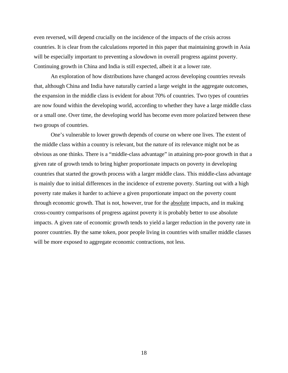even reversed, will depend crucially on the incidence of the impacts of the crisis across countries. It is clear from the calculations reported in this paper that maintaining growth in Asia will be especially important to preventing a slowdown in overall progress against poverty. Continuing growth in China and India is still expected, albeit it at a lower rate.

An exploration of how distributions have changed across developing countries reveals that, although China and India have naturally carried a large weight in the aggregate outcomes, the expansion in the middle class is evident for about 70% of countries. Two types of countries are now found within the developing world, according to whether they have a large middle class or a small one. Over time, the developing world has become even more polarized between these two groups of countries.

One's vulnerable to lower growth depends of course on where one lives. The extent of the middle class within a country is relevant, but the nature of its relevance might not be as obvious as one thinks. There is a "middle-class advantage" in attaining pro-poor growth in that a given rate of growth tends to bring higher proportionate impacts on poverty in developing countries that started the growth process with a larger middle class. This middle-class advantage is mainly due to initial differences in the incidence of extreme poverty. Starting out with a high poverty rate makes it harder to achieve a given proportionate impact on the poverty count through economic growth. That is not, however, true for the absolute impacts, and in making cross-country comparisons of progress against poverty it is probably better to use absolute impacts. A given rate of economic growth tends to yield a larger reduction in the poverty rate in poorer countries. By the same token, poor people living in countries with smaller middle classes will be more exposed to aggregate economic contractions, not less.

18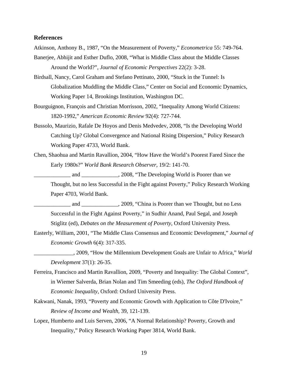#### **References**

Atkinson, Anthony B., 1987, "On the Measurement of Poverty," *Econometrica* 55: 749-764.

- Banerjee, Abhijit and Esther Duflo, 2008, "What is Middle Class about the Middle Classes Around the World?", *Journal of Economic Perspectives* 22(2): 3-28.
- Birdsall, Nancy, Carol Graham and Stefano Pettinato, 2000, "Stuck in the Tunnel: Is Globalization Muddling the Middle Class," Center on Social and Economic Dynamics, Working Paper 14, Brookings Institution, Washington DC.
- Bourguignon, François and Christian Morrisson, 2002, "Inequality Among World Citizens: 1820-1992," *American Economic Review* 92(4): 727-744.
- Bussolo, Maurizio, Rafale De Hoyos and Denis Medvedev, 2008, "Is the Developing World Catching Up? Global Convergence and National Rising Dispersion," Policy Research Working Paper 4733, World Bank.
- Chen, Shaohua and Martin Ravallion, 2004, "How Have the World's Poorest Fared Since the Early 1980s?" *World Bank Research Observer*, 19/2: 141-70.

and \_\_\_\_\_\_\_\_\_\_\_\_\_\_\_, 2008, "The Developing World is Poorer than we Thought, but no less Successful in the Fight against Poverty," Policy Research Working Paper 4703, World Bank.

- and \_\_\_\_\_\_\_\_\_\_\_\_\_\_\_, 2009, "China is Poorer than we Thought, but no Less Successful in the Fight Against Poverty," in Sudhir Anand, Paul Segal, and Joseph Stiglitz (ed), *Debates on the Measurement of Poverty*, Oxford University Press.
- Easterly, William, 2001, "The Middle Class Consensus and Economic Development," *Journal of Economic Growth* 6(4): 317-335.
	- \_\_\_\_\_\_\_\_\_\_\_\_\_\_, 2009, "How the Millennium Development Goals are Unfair to Africa," *World Development* 37(1): 26-35.
- Ferreira, Francisco and Martin Ravallion, 2009, "Poverty and Inequality: The Global Context", in Wiemer Salverda, Brian Nolan and Tim Smeeding (eds), *The Oxford Handbook of Economic Inequality*, Oxford: Oxford University Press.
- Kakwani, Nanak, 1993, "Poverty and Economic Growth with Application to Côte D'Ivoire," *Review of Income and Wealth,* 39, 121-139.
- Lopez, Humberto and Luis Serven, 2006, "A Normal Relationship? Poverty, Growth and Inequality," Policy Research Working Paper 3814, World Bank.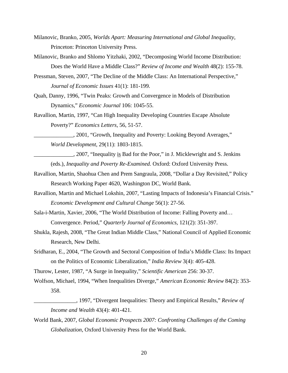- Milanovic, Branko, 2005, *Worlds Apart: Measuring International and Global Inequality*, Princeton: Princeton University Press.
- Milanovic, Branko and Shlomo Yitzhaki, 2002, "Decomposing World Income Distribution: Does the World Have a Middle Class?" *Review of Income and Wealth* 48(2): 155-78.
- Pressman, Steven, 2007, "The Decline of the Middle Class: An International Perspective," *Journal of Economic Issues* 41(1): 181-199.
- Quah, Danny, 1996, "Twin Peaks: Growth and Convergence in Models of Distribution Dynamics," *Economic Journal* 106: 1045-55.
- Ravallion, Martin, 1997, "Can High Inequality Developing Countries Escape Absolute Poverty?" *Economics Letters,* 56, 51-57.

\_\_\_\_\_\_\_\_\_\_\_\_\_\_, 2001, "Growth, Inequality and Poverty: Looking Beyond Averages," *World Development*, 29(11): 1803-1815.

- 2007, "Inequality is Bad for the Poor," in J. Micklewright and S. Jenkins (eds.), *Inequality and Poverty Re-Examined.* Oxford: Oxford University Press.
- Ravallion, Martin, Shaohua Chen and Prem Sangraula, 2008, "Dollar a Day Revisited," Policy Research Working Paper 4620, Washington DC, World Bank.
- Ravallion, Martin and Michael Lokshin, 2007, "Lasting Impacts of Indonesia's Financial Crisis." *Economic Development and Cultural Change* 56(1): 27-56.
- Sala-i-Martin, Xavier, 2006, "The World Distribution of Income: Falling Poverty and… Convergence. Period," *Quarterly Journal of Economics*, 121(2): 351-397.
- Shukla, Rajesh, 2008, "The Great Indian Middle Class," National Council of Applied Economic Research, New Delhi.
- Sridharan, E., 2004, "The Growth and Sectoral Composition of India's Middle Class: Its Impact on the Politics of Economic Liberalization," *India Review* 3(4): 405-428.
- Thurow, Lester, 1987, "A Surge in Inequality," *Scientific American* 256: 30-37.
- Wolfson, Michael, 1994, "When Inequalities Diverge," *American Economic Review* 84(2): 353- 358.
	- \_\_\_\_\_\_\_\_\_\_\_\_\_\_\_, 1997, "Divergent Inequalities: Theory and Empirical Results," *Review of Income and Wealth* 43(4): 401-421.
- World Bank, 2007, *Global Economic Prospects 2007: Confronting Challenges of the Coming Globalization*, Oxford University Press for the World Bank.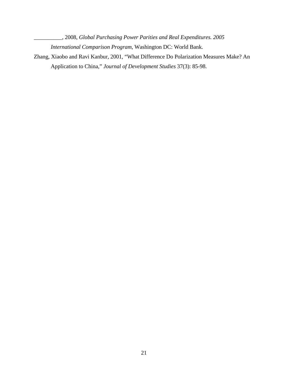\_\_\_\_\_\_\_\_\_\_, 2008, *Global Purchasing Power Parities and Real Expenditures. 2005 International Comparison Program*, Washington DC: World Bank.

Zhang, Xiaobo and Ravi Kanbur, 2001, "What Difference Do Polarization Measures Make? An Application to China," *Journal of Development Studies* 37(3): 85-98.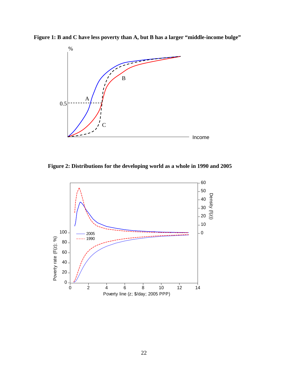**Figure 1: B and C have less poverty than A, but B has a larger "middle-income bulge"** 



 **Figure 2: Distributions for the developing world as a whole in 1990 and 2005** 

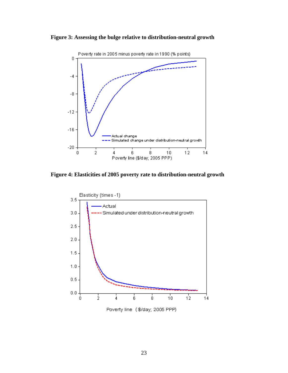![](_page_24_Figure_0.jpeg)

![](_page_24_Figure_1.jpeg)

**Figure 4: Elasticities of 2005 poverty rate to distribution-neutral growth** 

![](_page_24_Figure_3.jpeg)

Poverty line (\$/day; 2005 PPP)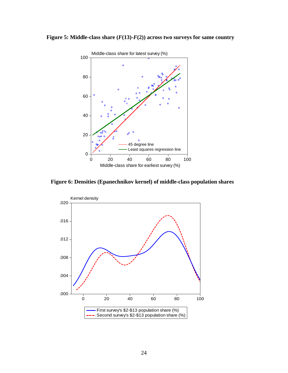![](_page_25_Figure_0.jpeg)

![](_page_25_Figure_1.jpeg)

**Figure 6: Densities (Epanechnikov kernel) of middle-class population shares** 

![](_page_25_Figure_3.jpeg)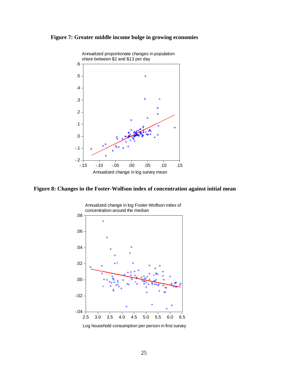![](_page_26_Figure_0.jpeg)

![](_page_26_Figure_1.jpeg)

**Figure 8: Changes in the Foster-Wolfson index of concentration against initial mean**

![](_page_26_Figure_3.jpeg)

Log household consumption per person in first survey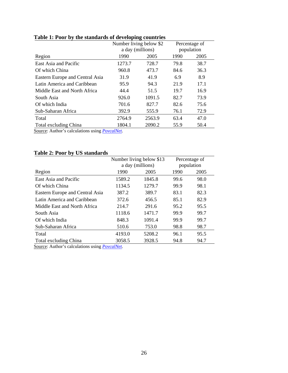|                                 | Number living below \$2 |                  |      | Percentage of |
|---------------------------------|-------------------------|------------------|------|---------------|
|                                 |                         | a day (millions) |      | population    |
| Region                          | 1990                    | 2005             | 1990 | 2005          |
| East Asia and Pacific           | 1273.7                  | 728.7            | 79.8 | 38.7          |
| Of which China                  | 960.8                   | 473.7            | 84.6 | 36.3          |
| Eastern Europe and Central Asia | 31.9                    | 41.9             | 6.9  | 8.9           |
| Latin America and Caribbean     | 95.9                    | 94.3             | 21.9 | 17.1          |
| Middle East and North Africa    | 44.4                    | 51.5             | 19.7 | 16.9          |
| South Asia                      | 926.0                   | 1091.5           | 82.7 | 73.9          |
| Of which India                  | 701.6                   | 827.7            | 82.6 | 75.6          |
| Sub-Saharan Africa              | 392.9                   | 555.9            | 76.1 | 72.9          |
| Total                           | 2764.9                  | 2563.9           | 63.4 | 47.0          |
| Total excluding China           | 1804.1                  | 2090.2           | 55.9 | 50.4          |

# **Table 1: Poor by the standards of developing countries**

Source: Author's calculations using *[PovcalNet](http://econ.worldbank.org/povcalnet)*.

### **Table 2: Poor by US standards**

|                                 |        | Number living below \$13 |      | Percentage of |
|---------------------------------|--------|--------------------------|------|---------------|
|                                 |        | a day (millions)         |      | population    |
| Region                          | 1990   | 2005                     | 1990 | 2005          |
| East Asia and Pacific           | 1589.2 | 1845.8                   | 99.6 | 98.0          |
| Of which China                  | 1134.5 | 1279.7                   | 99.9 | 98.1          |
| Eastern Europe and Central Asia | 387.2  | 389.7                    | 83.1 | 82.3          |
| Latin America and Caribbean     | 372.6  | 456.5                    | 85.1 | 82.9          |
| Middle East and North Africa    | 214.7  | 291.6                    | 95.2 | 95.5          |
| South Asia                      | 1118.6 | 1471.7                   | 99.9 | 99.7          |
| Of which India                  | 848.3  | 1091.4                   | 99.9 | 99.7          |
| Sub-Saharan Africa              | 510.6  | 753.0                    | 98.8 | 98.7          |
| Total                           | 4193.0 | 5208.2                   | 96.1 | 95.5          |
| Total excluding China           | 3058.5 | 3928.5                   | 94.8 | 94.7          |

Source: Author's calculations using *[PovcalNet](http://econ.worldbank.org/povcalnet)*.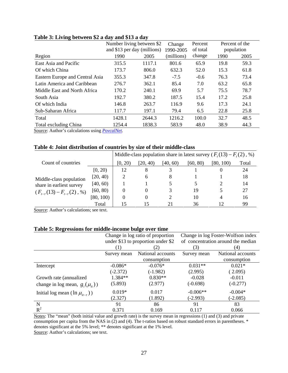|                                 | Number living between \$2<br>and \$13 per day (millions) |        | Percent<br>Change |          | Percent of the |      |
|---------------------------------|----------------------------------------------------------|--------|-------------------|----------|----------------|------|
|                                 |                                                          |        | 1990-2005         | of total | population     |      |
| Region                          | 1990                                                     | 2005   | (millions)        | change   | 1990           | 2005 |
| East Asia and Pacific           | 315.5                                                    | 1117.1 | 801.6             | 65.9     | 19.8           | 59.3 |
| Of which China                  | 173.7                                                    | 806.0  | 632.3             | 52.0     | 15.3           | 61.8 |
| Eastern Europe and Central Asia | 355.3                                                    | 347.8  | $-7.5$            | $-0.6$   | 76.3           | 73.4 |
| Latin America and Caribbean     | 276.7                                                    | 362.1  | 85.4              | 7.0      | 63.2           | 65.8 |
| Middle East and North Africa    | 170.2                                                    | 240.1  | 69.9              | 5.7      | 75.5           | 78.7 |
| South Asia                      | 192.7                                                    | 380.2  | 187.5             | 15.4     | 17.2           | 25.8 |
| Of which India                  | 146.8                                                    | 263.7  | 116.9             | 9.6      | 17.3           | 24.1 |
| Sub-Saharan Africa              | 117.7                                                    | 197.1  | 79.4              | 6.5      | 22.8           | 25.8 |
| Total                           | 1428.1                                                   | 2644.3 | 1216.2            | 100.0    | 32.7           | 48.5 |
| Total excluding China           | 1254.4                                                   | 1838.3 | 583.9             | 48.0     | 38.9           | 44.3 |

#### **Table 3: Living between \$2 a day and \$13 a day**

Source: Author's calculations using *[PovcalNet](http://econ.worldbank.org/povcalnet)*.

#### **Table 4: Joint distribution of countries by size of their middle-class**

|                                                                                                                                                       |           | Middle-class population share in latest survey ( $F_r(13) - F_r(2)$ , %) |          |          |          |           |       |
|-------------------------------------------------------------------------------------------------------------------------------------------------------|-----------|--------------------------------------------------------------------------|----------|----------|----------|-----------|-------|
| Count of countries                                                                                                                                    |           | [0, 20)                                                                  | [20, 40) | [40, 60] | [60, 80) | [80, 100) | Total |
| [0, 20)<br>[20, 40)<br>Middle-class population<br>[40, 60)<br>share in earliest survey<br>[60, 80)<br>$(F_{t-\tau}(13) - F_{t-\tau}(2), \mathcal{G})$ |           | 12                                                                       | 8        |          |          |           | 24    |
|                                                                                                                                                       |           |                                                                          | 6        | 8        |          |           | 18    |
|                                                                                                                                                       |           |                                                                          |          |          |          |           | 14    |
|                                                                                                                                                       |           | 0                                                                        | $_{0}$   | 3        | 19       |           | 27    |
|                                                                                                                                                       | [80, 100) | 0                                                                        | 0        |          | 10       | 4         | 16    |
|                                                                                                                                                       | Total     |                                                                          |          |          | 36       |           | 99    |

Source: Author's calculations; see text.

#### **Table 5: Regressions for middle-income bulge over time**

| $\overline{\phantom{a}}$                 |                                  | Change in log ratio of proportion  | Change in log Foster-Wolfson index |                   |  |
|------------------------------------------|----------------------------------|------------------------------------|------------------------------------|-------------------|--|
|                                          |                                  | under \$13 to proportion under \$2 | of concentration around the median |                   |  |
|                                          | $\left(1\right)$                 | (2)                                | (3)                                | (4)               |  |
|                                          | National accounts<br>Survey mean |                                    | Survey mean                        | National accounts |  |
|                                          |                                  | consumption                        |                                    | consumption       |  |
| Intercept                                | $-0.086*$                        | $-0.076*$                          | $0.031**$                          | $0.021*$          |  |
|                                          | $(-2.372)$                       | $(-1.982)$                         | (2.995)                            | (2.095)           |  |
| Growth rate (annualized                  | 1.384**                          | $0.830**$                          | $-0.028$                           | $-0.011$          |  |
| change in log mean, $g_i(\mu_i)$ )       | (5.893)                          | (2.977)                            | $(-0.698)$                         | $(-0.277)$        |  |
| Initial log mean $(\ln \mu_{it-\tau})$ ) | $0.019*$                         | 0.017                              | $-0.006**$                         | $-0.004*$         |  |
|                                          | (2.327)                          | (1.892)                            | $(-2.993)$                         | $(-2.085)$        |  |
| N                                        | 91                               | 86                                 | 91                                 | 83                |  |
| $R^2$                                    | 0.371                            | 0.169                              | 0.117                              | 0.066             |  |

Notes: The "mean" (both initial value and growth rate) is the survey mean in regressions (1) and (3) and private consumption per capita from the NAS in (2) and (4). The t-ratios based on robust standard errors in parentheses. \* denotes significant at the 5% level; \*\* denotes significant at the 1% level. Source: Author's calculations; see text.